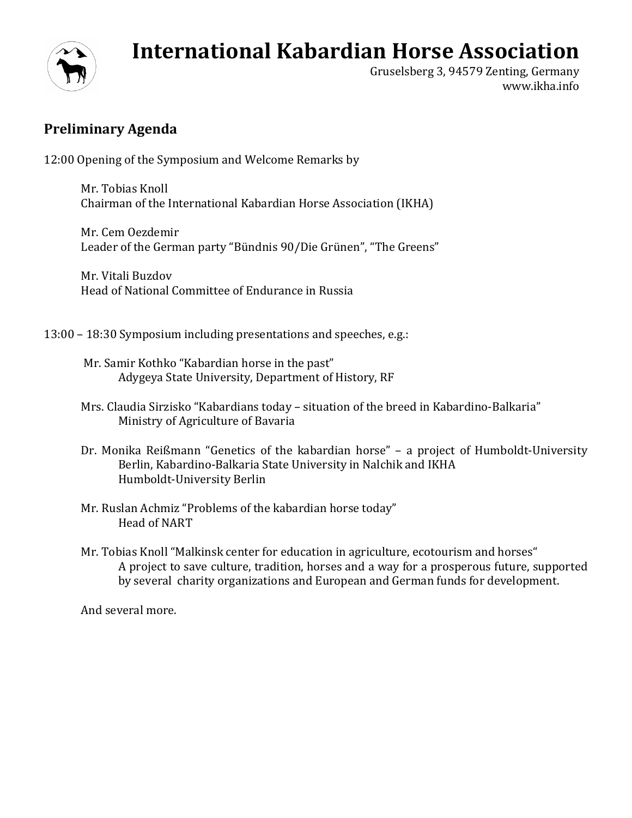## **International Kabardian Horse Association**



Gruselsberg 3, 94579 Zenting, Germany www.ikha.info

## **Preliminary Agenda**

12:00 Opening of the Symposium and Welcome Remarks by

Mr. Tobias Knoll Chairman of the International Kabardian Horse Association (IKHA)

Mr. Cem Oezdemir Leader of the German party "Bündnis 90/Die Grünen", "The Greens"

Mr. Vitali Buzdov Head of National Committee of Endurance in Russia

13:00 – 18:30 Symposium including presentations and speeches, e.g.:

- Mr. Samir Kothko "Kabardian horse in the past" Adygeya State University, Department of History, RF
- Mrs. Claudia Sirzisko "Kabardians today situation of the breed in Kabardino-Balkaria" Ministry of Agriculture of Bavaria
- Dr. Monika Reißmann "Genetics of the kabardian horse" a project of Humboldt-University Berlin, Kabardino-Balkaria State University in Nalchik and IKHA Humboldt-University Berlin
- Mr. Ruslan Achmiz "Problems of the kabardian horse today" Head of NART
- Mr. Tobias Knoll "Malkinsk center for education in agriculture, ecotourism and horses" A project to save culture, tradition, horses and a way for a prosperous future, supported by several charity organizations and European and German funds for development.

And several more.